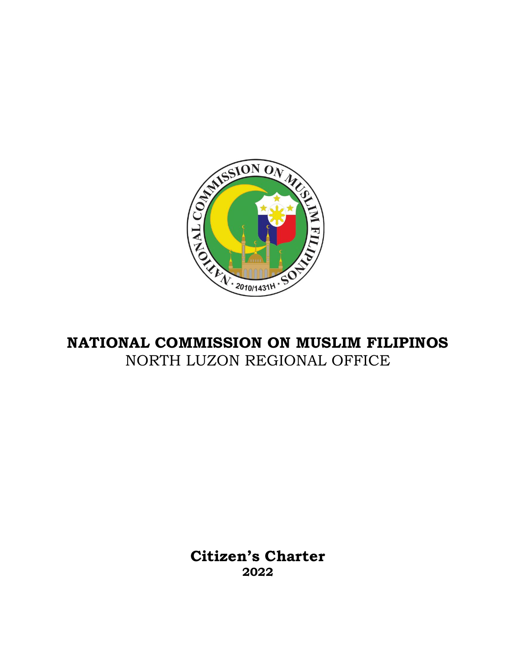

# **NATIONAL COMMISSION ON MUSLIM FILIPINOS** NORTH LUZON REGIONAL OFFICE

**Citizen's Charter 2022**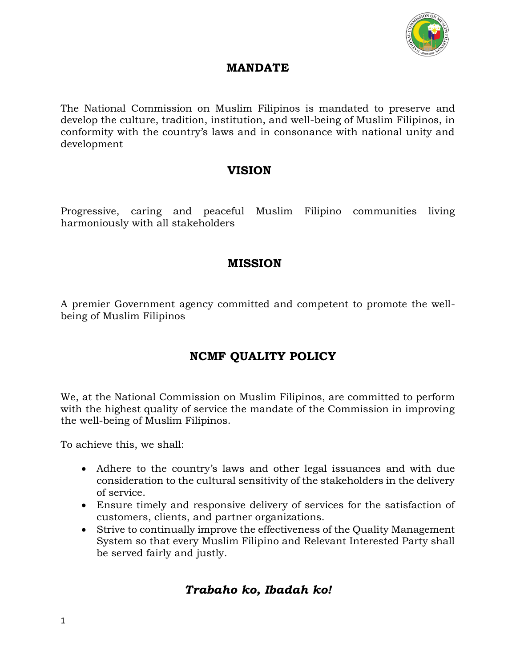

### **MANDATE**

The National Commission on Muslim Filipinos is mandated to preserve and develop the culture, tradition, institution, and well-being of Muslim Filipinos, in conformity with the country's laws and in consonance with national unity and development

### **VISION**

Progressive, caring and peaceful Muslim Filipino communities living harmoniously with all stakeholders

# **MISSION**

A premier Government agency committed and competent to promote the wellbeing of Muslim Filipinos

# **NCMF QUALITY POLICY**

We, at the National Commission on Muslim Filipinos, are committed to perform with the highest quality of service the mandate of the Commission in improving the well-being of Muslim Filipinos.

To achieve this, we shall:

- Adhere to the country's laws and other legal issuances and with due consideration to the cultural sensitivity of the stakeholders in the delivery of service.
- Ensure timely and responsive delivery of services for the satisfaction of customers, clients, and partner organizations.
- Strive to continually improve the effectiveness of the Quality Management System so that every Muslim Filipino and Relevant Interested Party shall be served fairly and justly.

# *Trabaho ko, Ibadah ko!*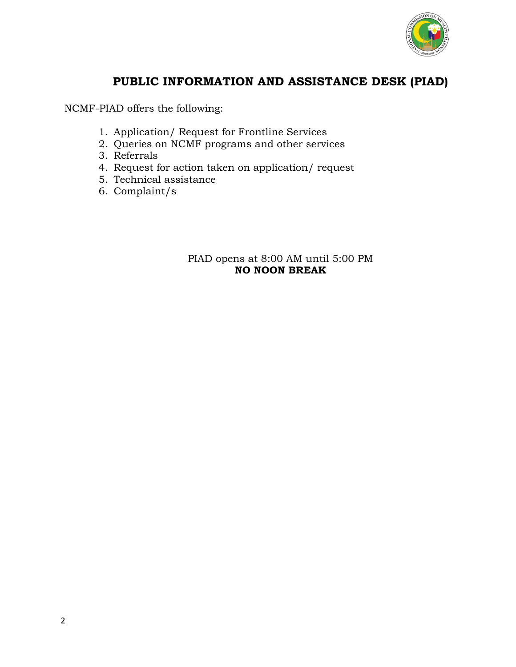

# **PUBLIC INFORMATION AND ASSISTANCE DESK (PIAD)**

NCMF-PIAD offers the following:

- 1. Application/ Request for Frontline Services
- 2. Queries on NCMF programs and other services
- 3. Referrals
- 4. Request for action taken on application/ request
- 5. Technical assistance
- 6. Complaint/s

#### PIAD opens at 8:00 AM until 5:00 PM **NO NOON BREAK**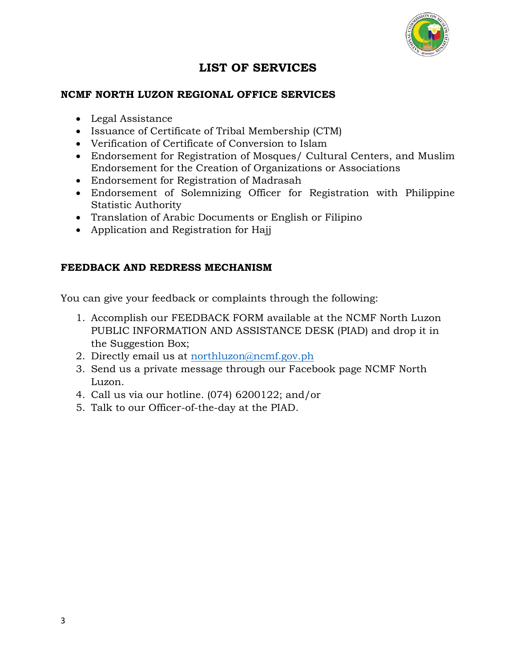

# **LIST OF SERVICES**

### **NCMF NORTH LUZON REGIONAL OFFICE SERVICES**

- Legal Assistance
- Issuance of Certificate of Tribal Membership (CTM)
- Verification of Certificate of Conversion to Islam
- Endorsement for Registration of Mosques/ Cultural Centers, and Muslim Endorsement for the Creation of Organizations or Associations
- Endorsement for Registration of Madrasah
- Endorsement of Solemnizing Officer for Registration with Philippine Statistic Authority
- Translation of Arabic Documents or English or Filipino
- Application and Registration for Hajj

#### **FEEDBACK AND REDRESS MECHANISM**

You can give your feedback or complaints through the following:

- 1. Accomplish our FEEDBACK FORM available at the NCMF North Luzon PUBLIC INFORMATION AND ASSISTANCE DESK (PIAD) and drop it in the Suggestion Box;
- 2. Directly email us at [northluzon@ncmf.gov.ph](mailto:northluzon@ncmf.gov.ph)
- 3. Send us a private message through our Facebook page NCMF North Luzon.
- 4. Call us via our hotline. (074) 6200122; and/or
- 5. Talk to our Officer-of-the-day at the PIAD.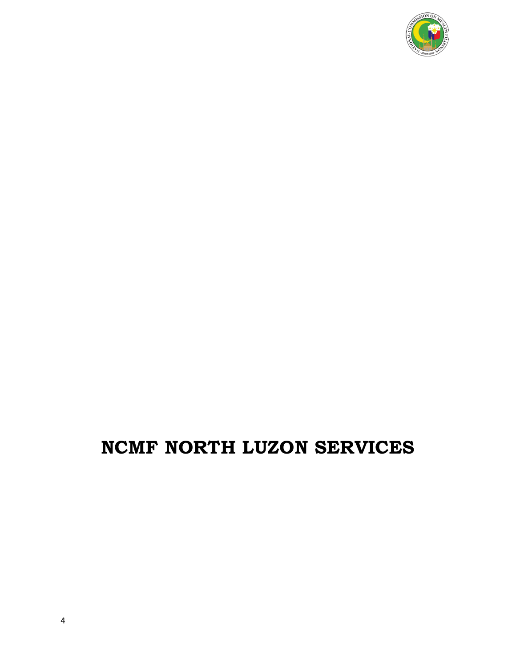

# **NCMF NORTH LUZON SERVICES**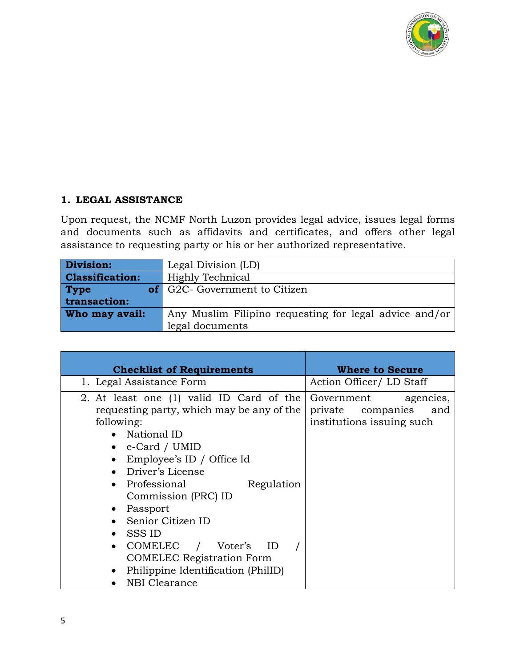

### **1. LEGAL ASSISTANCE**

Upon request, the NCMF North Luzon provides legal advice, issues legal forms and documents such as affidavits and certificates, and offers other legal assistance to requesting party or his or her authorized representative.

| Division:              | Legal Division (LD)                                    |
|------------------------|--------------------------------------------------------|
| <b>Classification:</b> | 'Highly Technical                                      |
| <b>Type</b>            | of G2C- Government to Citizen                          |
| transaction:           |                                                        |
| Who may avail:         | Any Muslim Filipino requesting for legal advice and/or |
|                        | legal documents                                        |

| <b>Checklist of Requirements</b>                                                                                                                                                                                                                                                                                                                                                                          | <b>Where to Secure</b>                                                        |
|-----------------------------------------------------------------------------------------------------------------------------------------------------------------------------------------------------------------------------------------------------------------------------------------------------------------------------------------------------------------------------------------------------------|-------------------------------------------------------------------------------|
| 1. Legal Assistance Form                                                                                                                                                                                                                                                                                                                                                                                  | Action Officer/LD Staff                                                       |
| 2. At least one (1) valid ID Card of the<br>requesting party, which may be any of the<br>following:<br>• National ID<br>e-Card / UMID<br>Employee's ID / Office Id<br>Driver's License<br>Professional<br>Regulation<br>Commission (PRC) ID<br>Passport<br>Senior Citizen ID<br>SSS ID<br>COMELEC / Voter's ID<br><b>COMELEC</b> Registration Form<br>Philippine Identification (PhilID)<br>NBI Clearance | Government<br>agencies,<br>private companies and<br>institutions issuing such |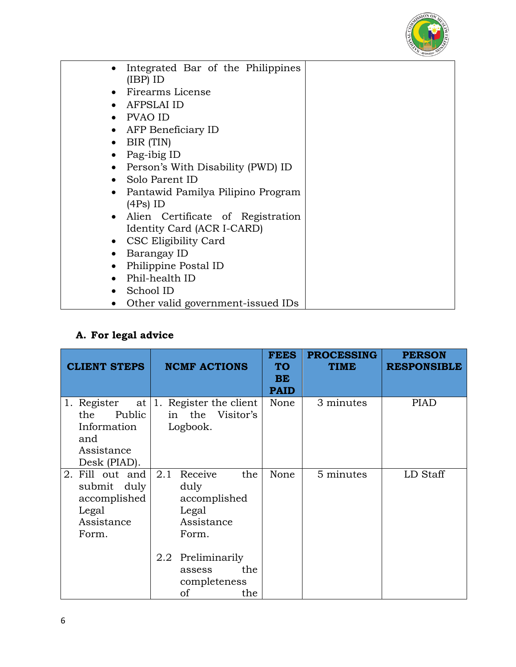

| Integrated Bar of the Philippines<br>$(IBP)$ ID |  |
|-------------------------------------------------|--|
| Firearms License                                |  |
|                                                 |  |
| <b>AFPSLAI ID</b>                               |  |
| PVAO ID                                         |  |
| AFP Beneficiary ID                              |  |
| BIR (TIN)                                       |  |
| Pag-ibig ID                                     |  |
| Person's With Disability (PWD) ID               |  |
| Solo Parent ID                                  |  |
| Pantawid Pamilya Pilipino Program<br>$\bullet$  |  |
| (4Ps) ID                                        |  |
| Alien Certificate of Registration               |  |
| Identity Card (ACR I-CARD)                      |  |
| CSC Eligibility Card<br>$\bullet$               |  |
| Barangay ID                                     |  |
| Philippine Postal ID                            |  |
| Phil-health ID                                  |  |
| School ID                                       |  |
| Other valid government-issued IDs               |  |

# **A. For legal advice**

| <b>CLIENT STEPS</b>                                                              | <b>NCMF ACTIONS</b>                                                           | <b>FEES</b><br><b>TO</b><br><b>BE</b><br><b>PAID</b> | <b>PROCESSING</b><br><b>TIME</b> | <b>PERSON</b><br><b>RESPONSIBLE</b> |
|----------------------------------------------------------------------------------|-------------------------------------------------------------------------------|------------------------------------------------------|----------------------------------|-------------------------------------|
| 1. Register<br>Public<br>the<br>Information<br>and<br>Assistance<br>Desk (PIAD). | at   1. Register the client<br>in the Visitor's<br>Logbook.                   | None                                                 | 3 minutes                        | <b>PIAD</b>                         |
| 2. Fill out and<br>submit duly<br>accomplished<br>Legal<br>Assistance<br>Form.   | 2.1<br>Receive<br>the<br>duly<br>accomplished<br>Legal<br>Assistance<br>Form. | None                                                 | 5 minutes                        | LD Staff                            |
|                                                                                  | 2.2 Preliminarily<br>the<br>assess<br>completeness<br>of<br>the               |                                                      |                                  |                                     |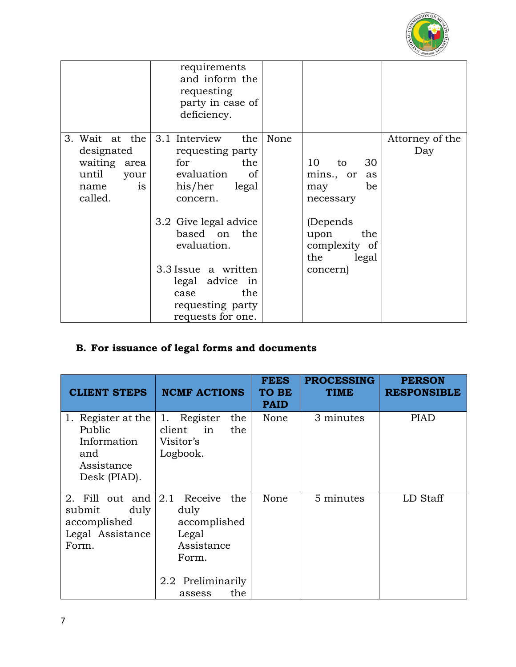

|                                                                                                              | requirements<br>and inform the<br>requesting<br>party in case of<br>deficiency.                                                                                                                                                                     |      |                                                                                                                                      |                        |
|--------------------------------------------------------------------------------------------------------------|-----------------------------------------------------------------------------------------------------------------------------------------------------------------------------------------------------------------------------------------------------|------|--------------------------------------------------------------------------------------------------------------------------------------|------------------------|
| 3. Wait at the $\vert 3.1$ Interview<br>designated<br>waiting area<br>until<br>your<br>is<br>name<br>called. | the<br>requesting party<br>for<br>the<br>evaluation<br>of<br>his/her<br>legal<br>concern.<br>3.2 Give legal advice<br>based on the<br>evaluation.<br>3.3 Issue a written<br>legal advice in<br>the<br>case<br>requesting party<br>requests for one. | None | 10<br>30<br>to<br>mins., or<br>as<br>be<br>may<br>necessary<br>(Depends)<br>the<br>upon<br>complexity of<br>the<br>legal<br>concern) | Attorney of the<br>Day |

# **B. For issuance of legal forms and documents**

| <b>CLIENT STEPS</b>                                                              | <b>NCMF ACTIONS</b>                                                                                                 | <b>FEES</b><br><b>TO BE</b><br><b>PAID</b> | <b>PROCESSING</b><br><b>TIME</b> | <b>PERSON</b><br><b>RESPONSIBLE</b> |
|----------------------------------------------------------------------------------|---------------------------------------------------------------------------------------------------------------------|--------------------------------------------|----------------------------------|-------------------------------------|
| 1. Register at the<br>Public<br>Information<br>and<br>Assistance<br>Desk (PIAD). | 1. Register<br>the<br>client<br>the<br>in<br>Visitor's<br>Logbook.                                                  | None                                       | 3 minutes                        | <b>PIAD</b>                         |
| 2. Fill out and<br>submit<br>duly<br>accomplished<br>Legal Assistance<br>Form.   | 2.1<br>Receive<br>the<br>duly<br>accomplished<br>Legal<br>Assistance<br>Form.<br>2.2 Preliminarily<br>the<br>assess | None                                       | 5 minutes                        | LD Staff                            |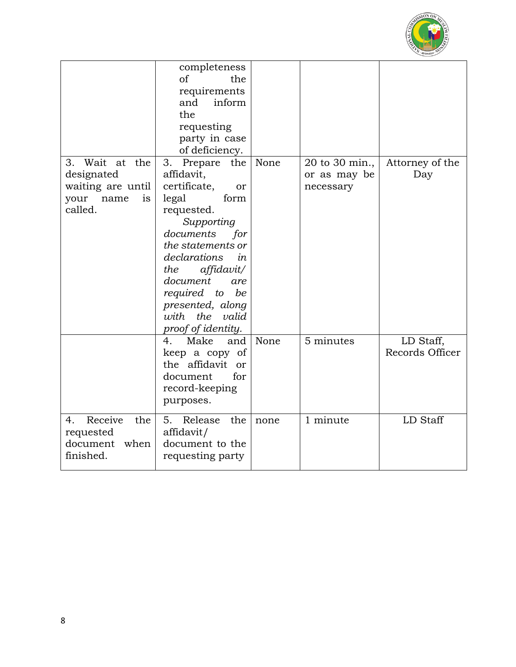

|                                                                                       | completeness<br>of<br>the<br>requirements<br>and<br>inform<br>the<br>requesting<br>party in case<br>of deficiency.                                                                                                                                                                      |      |                                             |                              |
|---------------------------------------------------------------------------------------|-----------------------------------------------------------------------------------------------------------------------------------------------------------------------------------------------------------------------------------------------------------------------------------------|------|---------------------------------------------|------------------------------|
| Wait at the<br>3.<br>designated<br>waiting are until<br>is<br>your<br>name<br>called. | 3.<br>Prepare the<br>affidavit,<br>certificate,<br>or<br>legal<br>form<br>requested.<br>Supporting<br>documents<br>for<br>the statements or<br>declarations<br>in<br>affidavit/<br>the<br>document<br>are<br>required to be<br>presented, along<br>with the valid<br>proof of identity. | None | 20 to 30 min.,<br>or as may be<br>necessary | Attorney of the<br>Day       |
|                                                                                       | Make<br>and<br>4.<br>keep a copy of<br>the affidavit or<br>document<br>for<br>record-keeping<br>purposes.                                                                                                                                                                               | None | 5 minutes                                   | LD Staff,<br>Records Officer |
| Receive<br>4.<br>the<br>requested<br>when<br>document<br>finished.                    | 5.<br>Release<br>the<br>affidavit/<br>document to the<br>requesting party                                                                                                                                                                                                               | none | 1 minute                                    | LD Staff                     |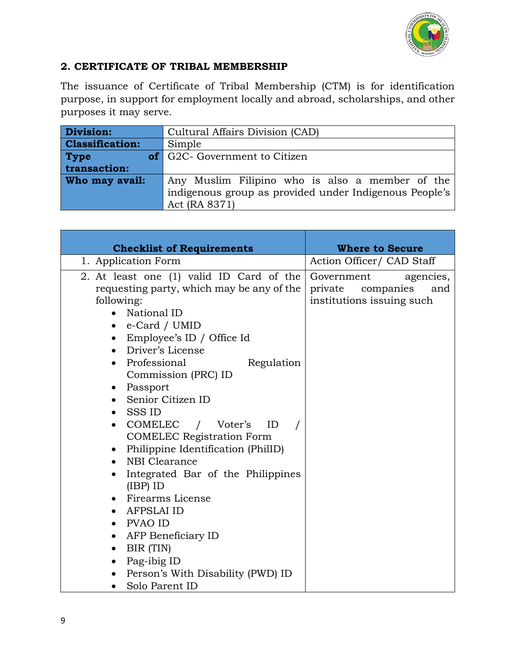

### **2. CERTIFICATE OF TRIBAL MEMBERSHIP**

The issuance of Certificate of Tribal Membership (CTM) is for identification purpose, in support for employment locally and abroad, scholarships, and other purposes it may serve.

| Division:              | Cultural Affairs Division (CAD)                        |  |  |  |
|------------------------|--------------------------------------------------------|--|--|--|
| <b>Classification:</b> | Simple                                                 |  |  |  |
| <b>Type</b>            | <b>of</b> G2C- Government to Citizen                   |  |  |  |
| transaction:           |                                                        |  |  |  |
| Who may avail:         | Any Muslim Filipino who is also a member of the        |  |  |  |
|                        | indigenous group as provided under Indigenous People's |  |  |  |
|                        | Act (RA 8371)                                          |  |  |  |

| <b>Checklist of Requirements</b>                                                                                                                                                                                                                                                                                                                                                                                                                                                                                                                                                                                                                                                               | <b>Where to Secure</b>                                                           |  |
|------------------------------------------------------------------------------------------------------------------------------------------------------------------------------------------------------------------------------------------------------------------------------------------------------------------------------------------------------------------------------------------------------------------------------------------------------------------------------------------------------------------------------------------------------------------------------------------------------------------------------------------------------------------------------------------------|----------------------------------------------------------------------------------|--|
| 1. Application Form                                                                                                                                                                                                                                                                                                                                                                                                                                                                                                                                                                                                                                                                            | Action Officer/ CAD Staff                                                        |  |
| 2. At least one (1) valid ID Card of the<br>requesting party, which may be any of the<br>following:<br>• National ID<br>$\bullet$ e-Card / UMID<br>• Employee's ID / Office Id<br>• Driver's License<br>Professional<br>Regulation<br>Commission (PRC) ID<br>• Passport<br>• Senior Citizen ID<br>SSS ID<br>• COMELEC / Voter's ID<br><b>COMELEC Registration Form</b><br>• Philippine Identification (PhilID)<br>NBI Clearance<br>Integrated Bar of the Philippines<br>$\bullet$<br>$(IBP)$ ID<br>• Firearms License<br>AFPSLAI ID<br>PVAO ID<br>AFP Beneficiary ID<br>$\bullet$<br>BIR (TIN)<br>$\bullet$<br>Pag-ibig ID<br>$\bullet$<br>Person's With Disability (PWD) ID<br>Solo Parent ID | Government<br>agencies,<br>private companies<br>and<br>institutions issuing such |  |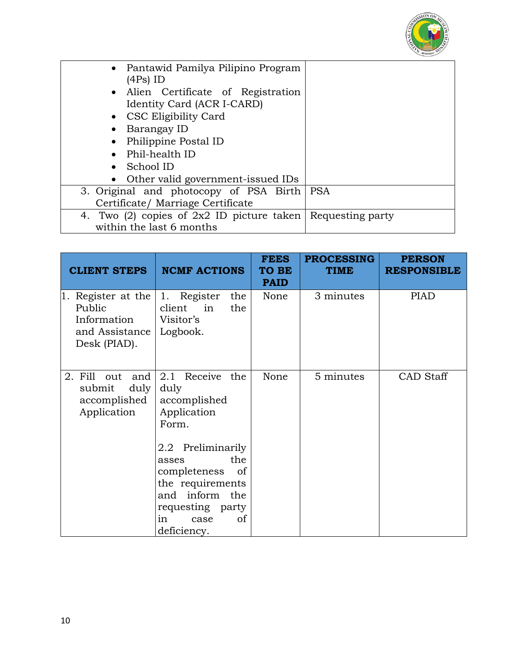

| • Pantawid Pamilya Pilipino Program<br>(4Ps) ID                                          |            |
|------------------------------------------------------------------------------------------|------------|
| • Alien Certificate of Registration<br>Identity Card (ACR I-CARD)                        |            |
| • CSC Eligibility Card                                                                   |            |
| Barangay ID                                                                              |            |
| Philippine Postal ID                                                                     |            |
| Phil-health ID                                                                           |            |
| School ID                                                                                |            |
| Other valid government-issued IDs                                                        |            |
| 3. Original and photocopy of PSA Birth                                                   | <b>PSA</b> |
| Certificate/ Marriage Certificate                                                        |            |
| 4. Two (2) copies of $2x2$ ID picture taken Requesting party<br>within the last 6 months |            |
|                                                                                          |            |

| <b>CLIENT STEPS</b>                                                              | <b>NCMF ACTIONS</b>                                                                                                                                         | <b>FEES</b><br><b>TO BE</b><br><b>PAID</b> | <b>PROCESSING</b><br><b>TIME</b> | <b>PERSON</b><br><b>RESPONSIBLE</b> |
|----------------------------------------------------------------------------------|-------------------------------------------------------------------------------------------------------------------------------------------------------------|--------------------------------------------|----------------------------------|-------------------------------------|
| Register at the<br>1.<br>Public<br>Information<br>and Assistance<br>Desk (PIAD). | 1. Register<br>the<br>client<br>the<br>in<br>Visitor's<br>Logbook.                                                                                          | None                                       | 3 minutes                        | <b>PIAD</b>                         |
| 2. Fill<br>and<br>out<br>duly<br>submit<br>accomplished<br>Application           | 2.1 Receive the<br>duly<br>accomplished<br>Application<br>Form.                                                                                             | None                                       | 5 minutes                        | CAD Staff                           |
|                                                                                  | Preliminarily<br>$2.2\,$<br>the<br>asses<br>completeness<br>of<br>the requirements<br>and inform the<br>requesting party<br>in<br>of<br>case<br>deficiency. |                                            |                                  |                                     |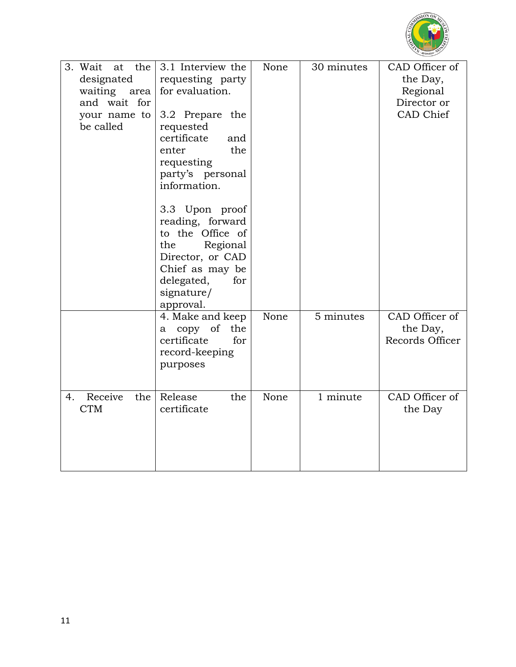

| 3. Wait<br>the<br>at | 3.1 Interview the  | None | 30 minutes | CAD Officer of  |
|----------------------|--------------------|------|------------|-----------------|
| designated           | requesting party   |      |            | the Day,        |
| waiting area         | for evaluation.    |      |            | Regional        |
| and wait for         |                    |      |            | Director or     |
| your name to         | 3.2 Prepare the    |      |            | CAD Chief       |
| be called            | requested          |      |            |                 |
|                      | certificate<br>and |      |            |                 |
|                      | the<br>enter       |      |            |                 |
|                      | requesting         |      |            |                 |
|                      | party's personal   |      |            |                 |
|                      | information.       |      |            |                 |
|                      | 3.3 Upon proof     |      |            |                 |
|                      | reading, forward   |      |            |                 |
|                      | to the Office of   |      |            |                 |
|                      | the<br>Regional    |      |            |                 |
|                      | Director, or CAD   |      |            |                 |
|                      | Chief as may be    |      |            |                 |
|                      | delegated,<br>for  |      |            |                 |
|                      | signature/         |      |            |                 |
|                      | approval.          |      |            |                 |
|                      | 4. Make and keep   | None | 5 minutes  | CAD Officer of  |
|                      | a copy of the      |      |            | the Day,        |
|                      | certificate<br>for |      |            | Records Officer |
|                      | record-keeping     |      |            |                 |
|                      | purposes           |      |            |                 |
|                      |                    |      |            |                 |
| Receive<br>4.<br>the | Release<br>the     | None | 1 minute   | CAD Officer of  |
| <b>CTM</b>           | certificate        |      |            | the Day         |
|                      |                    |      |            |                 |
|                      |                    |      |            |                 |
|                      |                    |      |            |                 |
|                      |                    |      |            |                 |
|                      |                    |      |            |                 |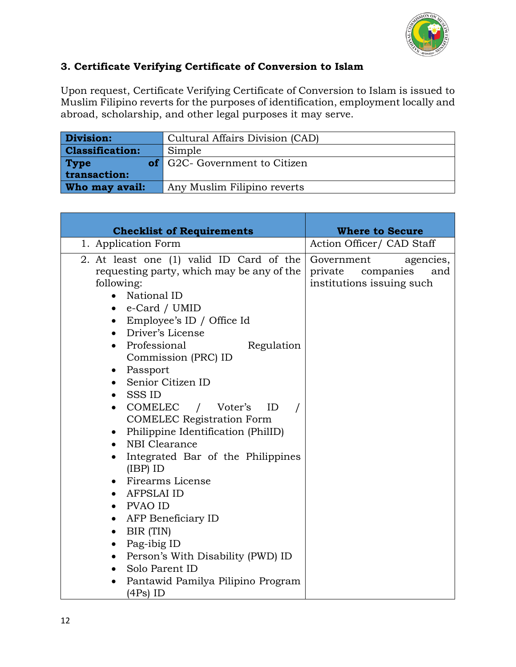

# **3. Certificate Verifying Certificate of Conversion to Islam**

Upon request, Certificate Verifying Certificate of Conversion to Islam is issued to Muslim Filipino reverts for the purposes of identification, employment locally and abroad, scholarship, and other legal purposes it may serve.

| Division:              | Cultural Affairs Division (CAD)      |  |  |
|------------------------|--------------------------------------|--|--|
| <b>Classification:</b> | Simple                               |  |  |
| <b>Type</b>            | <b>of</b> G2C- Government to Citizen |  |  |
| transaction:           |                                      |  |  |
| Who may avail:         | Any Muslim Filipino reverts          |  |  |

| <b>Checklist of Requirements</b>                                                                                                                                                                                                                                                                                                                                                                                                                                                                                                                                                                                                                                                                                                                                                                                                                                                                  | <b>Where to Secure</b>                                                           |  |  |
|---------------------------------------------------------------------------------------------------------------------------------------------------------------------------------------------------------------------------------------------------------------------------------------------------------------------------------------------------------------------------------------------------------------------------------------------------------------------------------------------------------------------------------------------------------------------------------------------------------------------------------------------------------------------------------------------------------------------------------------------------------------------------------------------------------------------------------------------------------------------------------------------------|----------------------------------------------------------------------------------|--|--|
| 1. Application Form                                                                                                                                                                                                                                                                                                                                                                                                                                                                                                                                                                                                                                                                                                                                                                                                                                                                               | Action Officer/ CAD Staff                                                        |  |  |
| 2. At least one (1) valid ID Card of the<br>requesting party, which may be any of the<br>following:<br>• National ID<br>e-Card / UMID<br>$\bullet$<br>Employee's ID / Office Id<br>$\bullet$<br>• Driver's License<br>Professional<br>Regulation<br>Commission (PRC) ID<br>Passport<br>$\bullet$<br>– Senior Citizen ID<br>$\bullet$<br>SSS ID<br>COMELEC / Voter's<br>ID<br>$\bullet$<br><b>COMELEC</b> Registration Form<br>Philippine Identification (PhilID)<br>$\bullet$<br>NBI Clearance<br>$\bullet$<br>Integrated Bar of the Philippines<br>$\bullet$<br>$(IBP)$ ID<br>Firearms License<br>$\bullet$<br>AFPSLAI ID<br>$\bullet$<br>PVAO ID<br>$\bullet$<br>AFP Beneficiary ID<br>$\bullet$<br>BIR (TIN)<br>٠<br>Pag-ibig ID<br>$\bullet$<br>Person's With Disability (PWD) ID<br>$\bullet$<br>Solo Parent ID<br>$\bullet$<br>Pantawid Pamilya Pilipino Program<br>$\bullet$<br>$(4Ps)$ ID | Government<br>agencies,<br>private companies<br>and<br>institutions issuing such |  |  |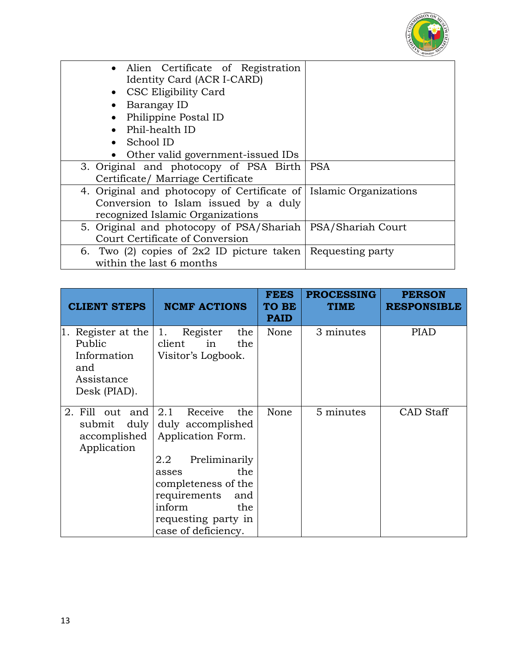

| • Alien Certificate of Registration                          |                              |
|--------------------------------------------------------------|------------------------------|
| Identity Card (ACR I-CARD)                                   |                              |
| • CSC Eligibility Card                                       |                              |
| Barangay ID                                                  |                              |
| Philippine Postal ID                                         |                              |
| Phil-health ID                                               |                              |
| School ID                                                    |                              |
| Other valid government-issued IDs                            |                              |
| 3. Original and photocopy of PSA Birth                       | <b>PSA</b>                   |
| Certificate/ Marriage Certificate                            |                              |
| 4. Original and photocopy of Certificate of                  | <b>Islamic Organizations</b> |
| Conversion to Islam issued by a duly                         |                              |
| recognized Islamic Organizations                             |                              |
| 5. Original and photocopy of PSA/Shariah   PSA/Shariah Court |                              |
| Court Certificate of Conversion                              |                              |
| 6. Two (2) copies of $2x2$ ID picture taken Requesting party |                              |
| within the last 6 months                                     |                              |

| <b>CLIENT STEPS</b>                                                                 | <b>NCMF ACTIONS</b>                                                                                                                               | <b>FEES</b><br>TO BE<br><b>PAID</b> | <b>PROCESSING</b><br><b>TIME</b> | <b>PERSON</b><br><b>RESPONSIBLE</b> |
|-------------------------------------------------------------------------------------|---------------------------------------------------------------------------------------------------------------------------------------------------|-------------------------------------|----------------------------------|-------------------------------------|
| Register at the<br>Π.<br>Public<br>Information<br>and<br>Assistance<br>Desk (PIAD). | Register<br>1.<br>the<br>client<br>the<br>in<br>Visitor's Logbook.                                                                                | None                                | 3 minutes                        | <b>PIAD</b>                         |
| 2. Fill out and<br>duly<br>submit<br>accomplished<br>Application                    | 2.1<br>Receive<br>the<br>duly accomplished<br>Application Form.                                                                                   | None                                | 5 minutes                        | <b>CAD</b> Staff                    |
|                                                                                     | Preliminarily<br>2.2<br>the<br>asses<br>completeness of the<br>requirements<br>and<br>inform<br>the<br>requesting party in<br>case of deficiency. |                                     |                                  |                                     |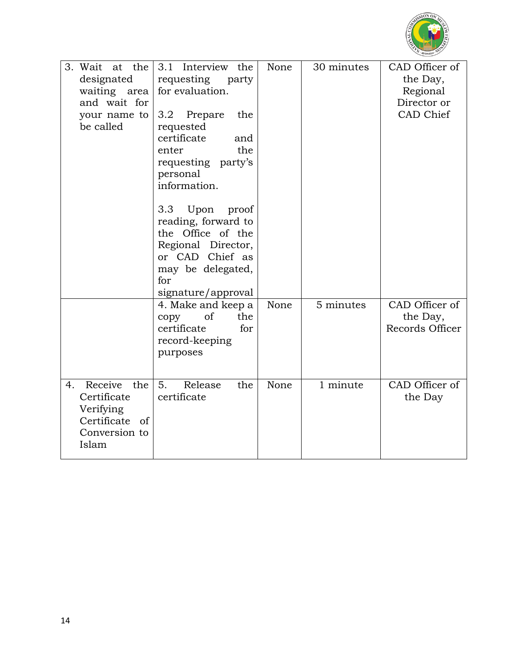

| 3. Wait<br>at the<br>designated<br>waiting area<br>and wait for<br>your name to<br>be called | 3.1 Interview the<br>requesting party<br>for evaluation.<br>3.2<br>the<br>Prepare<br>requested<br>certificate<br>and<br>the<br>enter<br>requesting party's<br>personal<br>information.<br>Upon<br>3.3<br>proof<br>reading, forward to<br>the Office of the<br>Regional Director,<br>or CAD Chief as<br>may be delegated,<br>for<br>signature/approval | None | 30 minutes | CAD Officer of<br>the Day,<br>Regional<br>Director or<br>CAD Chief |
|----------------------------------------------------------------------------------------------|-------------------------------------------------------------------------------------------------------------------------------------------------------------------------------------------------------------------------------------------------------------------------------------------------------------------------------------------------------|------|------------|--------------------------------------------------------------------|
|                                                                                              | 4. Make and keep a<br>of<br>the<br>copy<br>certificate<br>for<br>record-keeping<br>purposes                                                                                                                                                                                                                                                           | None | 5 minutes  | CAD Officer of<br>the Day,<br>Records Officer                      |
| Receive<br>the<br>4.<br>Certificate<br>Verifying<br>Certificate of<br>Conversion to<br>Islam | 5.<br>Release<br>the<br>certificate                                                                                                                                                                                                                                                                                                                   | None | 1 minute   | CAD Officer of<br>the Day                                          |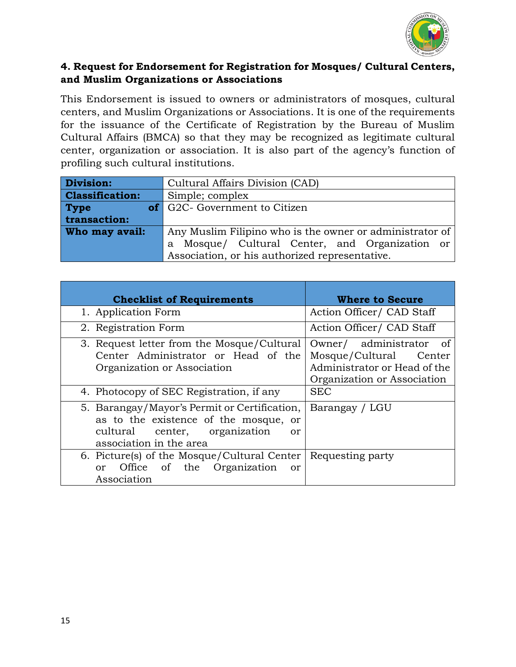

### **4. Request for Endorsement for Registration for Mosques/ Cultural Centers, and Muslim Organizations or Associations**

This Endorsement is issued to owners or administrators of mosques, cultural centers, and Muslim Organizations or Associations. It is one of the requirements for the issuance of the Certificate of Registration by the Bureau of Muslim Cultural Affairs (BMCA) so that they may be recognized as legitimate cultural center, organization or association. It is also part of the agency's function of profiling such cultural institutions.

| Division:              | Cultural Affairs Division (CAD)                          |  |  |  |  |
|------------------------|----------------------------------------------------------|--|--|--|--|
| <b>Classification:</b> | Simple; complex                                          |  |  |  |  |
| <b>Type</b>            | <b>of</b> G2C- Government to Citizen                     |  |  |  |  |
| transaction:           |                                                          |  |  |  |  |
| Who may avail:         | Any Muslim Filipino who is the owner or administrator of |  |  |  |  |
|                        | a Mosque/ Cultural Center, and Organization or           |  |  |  |  |
|                        | Association, or his authorized representative.           |  |  |  |  |

| <b>Checklist of Requirements</b>                                                                                                                                      | <b>Where to Secure</b>                                                                                           |  |
|-----------------------------------------------------------------------------------------------------------------------------------------------------------------------|------------------------------------------------------------------------------------------------------------------|--|
| 1. Application Form                                                                                                                                                   | Action Officer/ CAD Staff                                                                                        |  |
| 2. Registration Form                                                                                                                                                  | Action Officer/ CAD Staff                                                                                        |  |
| 3. Request letter from the Mosque/Cultural<br>Center Administrator or Head of the<br>Organization or Association                                                      | Owner/ administrator of<br>Mosque/Cultural Center<br>Administrator or Head of the<br>Organization or Association |  |
| 4. Photocopy of SEC Registration, if any                                                                                                                              | <b>SEC</b>                                                                                                       |  |
| 5. Barangay/Mayor's Permit or Certification,<br>as to the existence of the mosque, or<br>center, organization<br>cultural<br><sub>or</sub><br>association in the area | Barangay / LGU                                                                                                   |  |
| 6. Picture(s) of the Mosque/Cultural Center<br>or Office of the Organization<br>or<br>Association                                                                     | Requesting party                                                                                                 |  |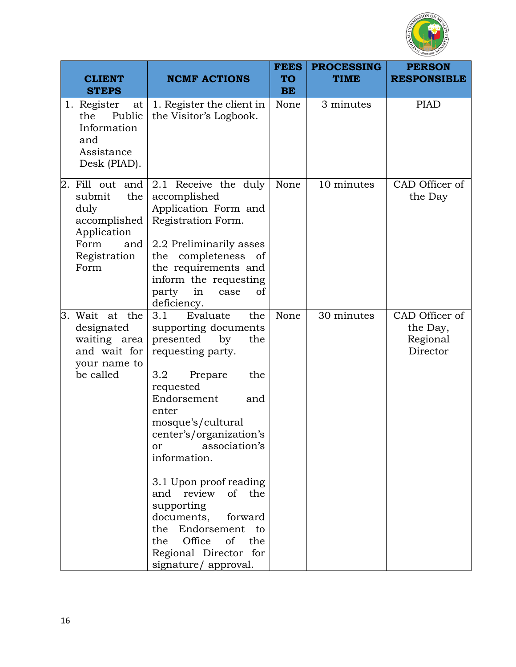

| <b>CLIENT</b><br><b>STEPS</b>                                                                                  | <b>NCMF ACTIONS</b>                                                                                                                                                                                                                                                                                                                                                                                                                               | <b>FEES</b><br><b>TO</b><br><b>BE</b> | <b>PROCESSING</b><br><b>TIME</b> | <b>PERSON</b><br><b>RESPONSIBLE</b>                |
|----------------------------------------------------------------------------------------------------------------|---------------------------------------------------------------------------------------------------------------------------------------------------------------------------------------------------------------------------------------------------------------------------------------------------------------------------------------------------------------------------------------------------------------------------------------------------|---------------------------------------|----------------------------------|----------------------------------------------------|
| 1. Register<br>at<br>Public<br>the<br>Information<br>and<br>Assistance<br>Desk (PIAD).                         | 1. Register the client in<br>the Visitor's Logbook.                                                                                                                                                                                                                                                                                                                                                                                               | None                                  | 3 minutes                        | <b>PIAD</b>                                        |
| 2. Fill out and<br>submit<br>the<br>duly<br>accomplished<br>Application<br>Form<br>and<br>Registration<br>Form | 2.1 Receive the duly<br>accomplished<br>Application Form and<br>Registration Form.<br>2.2 Preliminarily asses<br>the completeness of<br>the requirements and<br>inform the requesting<br>in<br>party<br>of<br>case<br>deficiency.                                                                                                                                                                                                                 | None                                  | 10 minutes                       | CAD Officer of<br>the Day                          |
| 3. Wait at the<br>designated<br>waiting area<br>and wait for<br>your name to<br>be called                      | Evaluate<br>3.1<br>the<br>supporting documents<br>presented<br>by<br>the<br>requesting party.<br>3.2<br>the<br>Prepare<br>requested<br>Endorsement<br>and<br>enter<br>mosque's/cultural<br>center's/organization's<br>association's<br>or<br>information.<br>3.1 Upon proof reading<br>and review of the<br>supporting<br>documents, forward<br>the Endorsement to<br>Office<br>of<br>the<br>the<br>Regional Director for<br>signature/ approval. | None                                  | 30 minutes                       | CAD Officer of<br>the Day,<br>Regional<br>Director |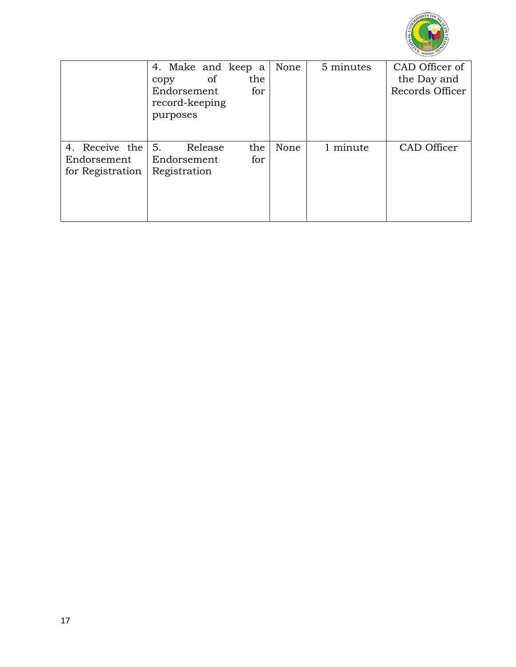

|                                                   | 4. Make and keep a<br>of<br>copy<br>Endorsement<br>record-keeping<br>purposes | the<br>for | None | 5 minutes | CAD Officer of<br>the Day and<br>Records Officer |
|---------------------------------------------------|-------------------------------------------------------------------------------|------------|------|-----------|--------------------------------------------------|
| 4. Receive the<br>Endorsement<br>for Registration | 5.<br>Release<br>Endorsement<br>Registration                                  | the<br>for | None | 1 minute  | CAD Officer                                      |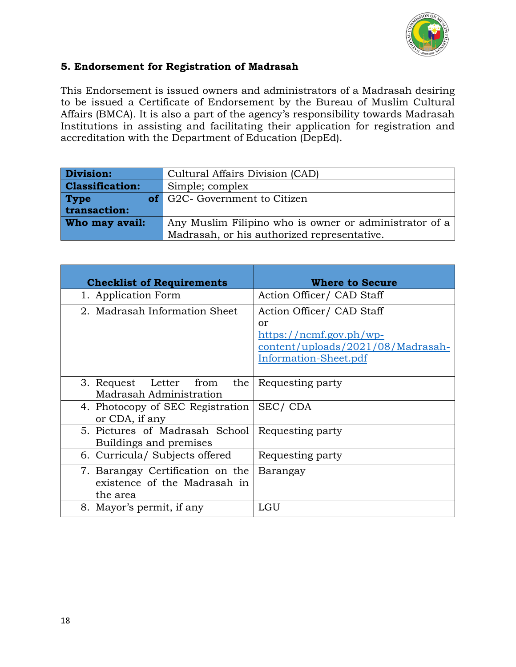

### **5. Endorsement for Registration of Madrasah**

This Endorsement is issued owners and administrators of a Madrasah desiring to be issued a Certificate of Endorsement by the Bureau of Muslim Cultural Affairs (BMCA). It is also a part of the agency's responsibility towards Madrasah Institutions in assisting and facilitating their application for registration and accreditation with the Department of Education (DepEd).

| Division:<br>Cultural Affairs Division (CAD) |                                                        |  |
|----------------------------------------------|--------------------------------------------------------|--|
| <b>Classification:</b>                       | Simple; complex                                        |  |
| <b>Type</b>                                  | of G2C- Government to Citizen                          |  |
| transaction:                                 |                                                        |  |
| Who may avail:                               | Any Muslim Filipino who is owner or administrator of a |  |
|                                              | Madrasah, or his authorized representative.            |  |

| <b>Checklist of Requirements</b>                                             | <b>Where to Secure</b>                                                                                                     |
|------------------------------------------------------------------------------|----------------------------------------------------------------------------------------------------------------------------|
| 1. Application Form                                                          | Action Officer/ CAD Staff                                                                                                  |
| 2. Madrasah Information Sheet                                                | Action Officer/ CAD Staff<br>or<br>$https://ncmf.gov.ph/wp-$<br>content/uploads/2021/08/Madrasah-<br>Information-Sheet.pdf |
| 3. Request Letter from<br>the<br>Madrasah Administration                     | Requesting party                                                                                                           |
| 4. Photocopy of SEC Registration<br>or CDA, if any                           | SEC/CDA                                                                                                                    |
| 5. Pictures of Madrasah School<br>Buildings and premises                     | Requesting party                                                                                                           |
| 6. Curricula/ Subjects offered                                               | Requesting party                                                                                                           |
| 7. Barangay Certification on the<br>existence of the Madrasah in<br>the area | Barangay                                                                                                                   |
| 8. Mayor's permit, if any                                                    | LGU                                                                                                                        |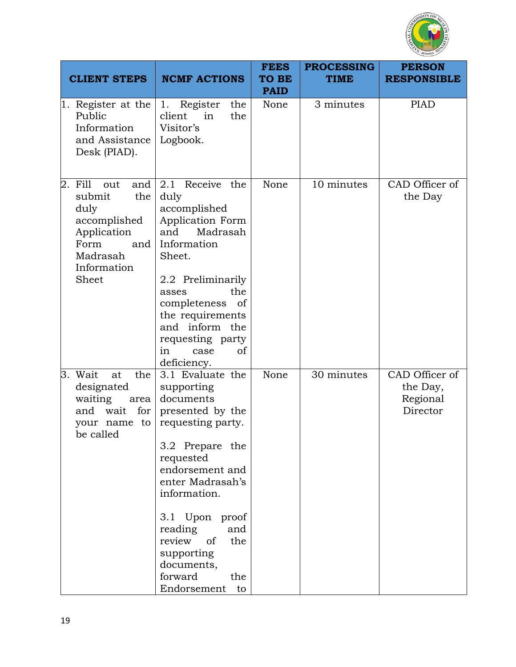

| <b>CLIENT STEPS</b>                                                                                                                 | <b>NCMF ACTIONS</b>                                                                                                                                                                                                                                                                                       | <b>FEES</b><br><b>TO BE</b><br><b>PAID</b> | <b>PROCESSING</b><br><b>TIME</b> | <b>PERSON</b><br><b>RESPONSIBLE</b>                |
|-------------------------------------------------------------------------------------------------------------------------------------|-----------------------------------------------------------------------------------------------------------------------------------------------------------------------------------------------------------------------------------------------------------------------------------------------------------|--------------------------------------------|----------------------------------|----------------------------------------------------|
| $\vert 1.$ Register at the<br>Public<br>Information<br>and Assistance<br>Desk (PIAD).                                               | 1. Register<br>the<br>the<br>client<br>in<br>Visitor's<br>Logbook.                                                                                                                                                                                                                                        | None                                       | 3 minutes                        | <b>PIAD</b>                                        |
| Fill<br>and<br>2.<br>out<br>the<br>submit<br>duly<br>accomplished<br>Application<br>Form<br>and<br>Madrasah<br>Information<br>Sheet | Receive the<br>2.1<br>duly<br>accomplished<br>Application Form<br>Madrasah<br>and<br>Information<br>Sheet.<br>2.2 Preliminarily<br>the<br>asses<br>completeness<br>of<br>the requirements<br>and inform the<br>requesting party<br>in<br>of<br>case<br>deficiency.                                        | None                                       | 10 minutes                       | CAD Officer of<br>the Day                          |
| the<br>3. Wait<br>at<br>designated<br>waiting<br>area<br>for<br>and<br>wait<br>your name to<br>be called                            | 3.1 Evaluate the<br>supporting<br>documents<br>presented by the<br>requesting party.<br>3.2 Prepare the<br>requested<br>endorsement and<br>enter Madrasah's<br>information.<br>3.1 Upon proof<br>reading<br>and<br>review<br>of<br>the<br>supporting<br>documents,<br>forward<br>the<br>Endorsement<br>to | None                                       | 30 minutes                       | CAD Officer of<br>the Day,<br>Regional<br>Director |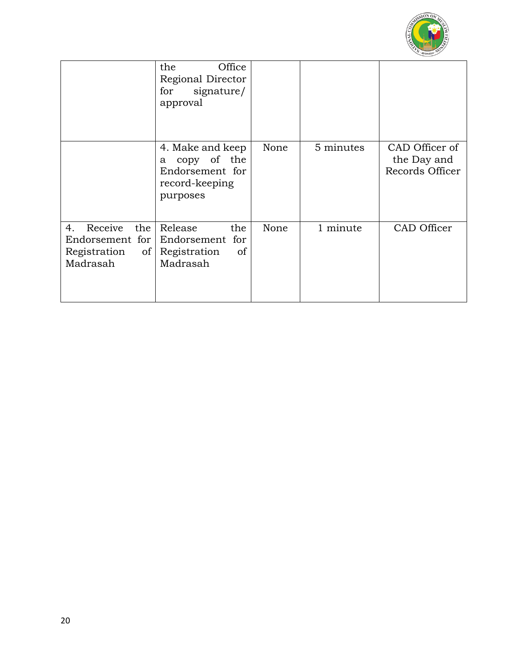

|                                                                        | the<br>Office<br>Regional Director<br>signature/<br>for<br>approval                            |      |           |                                                  |
|------------------------------------------------------------------------|------------------------------------------------------------------------------------------------|------|-----------|--------------------------------------------------|
|                                                                        | 4. Make and keep<br>copy of the<br>a<br>Endorsement for<br>record-keeping<br>purposes          | None | 5 minutes | CAD Officer of<br>the Day and<br>Records Officer |
| Receive<br>the<br>4.<br>Registration<br>$\vert$ of $\vert$<br>Madrasah | Release<br>the<br>Endorsement for Endorsement for<br>Registration<br><sub>of</sub><br>Madrasah | None | 1 minute  | CAD Officer                                      |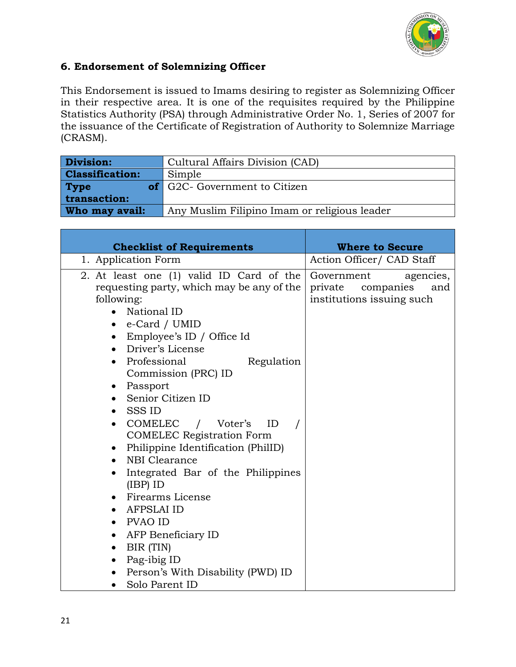

### **6. Endorsement of Solemnizing Officer**

This Endorsement is issued to Imams desiring to register as Solemnizing Officer in their respective area. It is one of the requisites required by the Philippine Statistics Authority (PSA) through Administrative Order No. 1, Series of 2007 for the issuance of the Certificate of Registration of Authority to Solemnize Marriage (CRASM).

| <b>Division:</b>       | Cultural Affairs Division (CAD)              |  |
|------------------------|----------------------------------------------|--|
| <b>Classification:</b> | Simple                                       |  |
| <b>Type</b>            | <b>of</b> G2C- Government to Citizen         |  |
| transaction:           |                                              |  |
| Who may avail:         | Any Muslim Filipino Imam or religious leader |  |

| <b>Checklist of Requirements</b>                                                                                                                                                                                                                                                                                                                                                                                                                                                                                                                                                                                                                                                                              | <b>Where to Secure</b>                                                              |  |
|---------------------------------------------------------------------------------------------------------------------------------------------------------------------------------------------------------------------------------------------------------------------------------------------------------------------------------------------------------------------------------------------------------------------------------------------------------------------------------------------------------------------------------------------------------------------------------------------------------------------------------------------------------------------------------------------------------------|-------------------------------------------------------------------------------------|--|
| 1. Application Form                                                                                                                                                                                                                                                                                                                                                                                                                                                                                                                                                                                                                                                                                           | Action Officer/ CAD Staff                                                           |  |
| 2. At least one (1) valid ID Card of the<br>requesting party, which may be any of the<br>following:<br>National ID<br>e-Card / UMID<br>• Employee's ID / Office Id<br>Driver's License<br>$\bullet$<br>• Professional<br>Regulation<br>Commission (PRC) ID<br>• Passport<br>• Senior Citizen ID<br>SSS ID<br>COMELEC / Voter's<br>ID<br>$\bullet$<br><b>COMELEC Registration Form</b><br>• Philippine Identification (PhilID)<br>NBI Clearance<br>Integrated Bar of the Philippines<br>$\bullet$<br>$(IBP)$ ID<br>• Firearms License<br>AFPSLAI ID<br>PVAO ID<br>$\bullet$<br>AFP Beneficiary ID<br>$\bullet$<br>BIR (TIN)<br>Pag-ibig ID<br>$\bullet$<br>Person's With Disability (PWD) ID<br>Solo Parent ID | Government<br>agencies,<br>companies<br>and<br>private<br>institutions issuing such |  |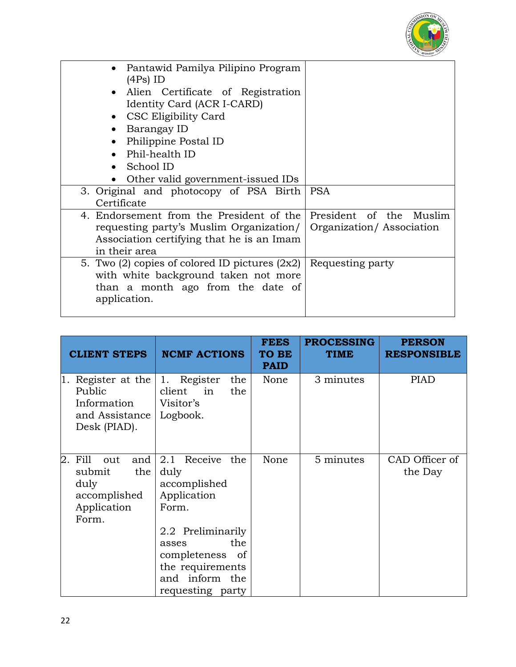

| Pantawid Pamilya Pilipino Program                                |                          |
|------------------------------------------------------------------|--------------------------|
| $(4Ps)$ ID                                                       |                          |
| Alien Certificate of Registration                                |                          |
| Identity Card (ACR I-CARD)                                       |                          |
| CSC Eligibility Card                                             |                          |
| Barangay ID                                                      |                          |
| Philippine Postal ID                                             |                          |
| Phil-health ID                                                   |                          |
| School ID                                                        |                          |
| Other valid government-issued IDs                                |                          |
| 3. Original and photocopy of PSA Birth                           | <b>PSA</b>               |
| Certificate                                                      |                          |
| 4. Endorsement from the President of the President of the Muslim |                          |
| requesting party's Muslim Organization/                          | Organization/Association |
| Association certifying that he is an Imam                        |                          |
| in their area                                                    |                          |
| 5. Two (2) copies of colored ID pictures $(2x2)$                 | Requesting party         |
| with white background taken not more                             |                          |
| than a month ago from the date of                                |                          |
| application.                                                     |                          |
|                                                                  |                          |

| <b>CLIENT STEPS</b>                                                                       | <b>NCMF ACTIONS</b>                                                                                                                                                                       | <b>FEES</b><br><b>TO BE</b><br><b>PAID</b> | <b>PROCESSING</b><br><b>TIME</b> | <b>PERSON</b><br><b>RESPONSIBLE</b> |
|-------------------------------------------------------------------------------------------|-------------------------------------------------------------------------------------------------------------------------------------------------------------------------------------------|--------------------------------------------|----------------------------------|-------------------------------------|
| Register at the<br>11.<br>Public<br>Information<br>and Assistance<br>Desk (PIAD).         | 1. Register<br>the<br>client<br>in<br>the<br>Visitor's<br>Logbook.                                                                                                                        | None                                       | 3 minutes                        | <b>PIAD</b>                         |
| 2.<br>Fill<br>and<br>out<br>the<br>submit<br>duly<br>accomplished<br>Application<br>Form. | 2.1 Receive<br>the<br>duly<br>accomplished<br>Application<br>Form.<br>2.2 Preliminarily<br>the<br>asses<br>completeness<br>- of<br>the requirements<br>and inform the<br>requesting party | None                                       | 5 minutes                        | CAD Officer of<br>the Day           |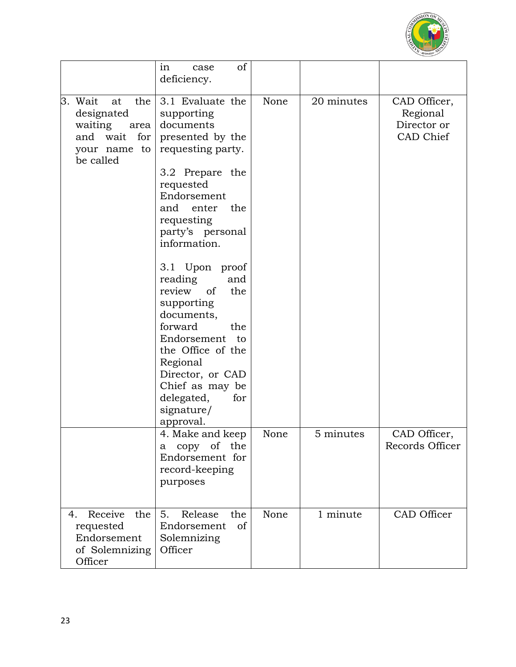

|                                                                                                              | of<br>in<br>case<br>deficiency.                                                                                                                                                                                                                                                                                                                                                                                                              |      |            |                                                      |
|--------------------------------------------------------------------------------------------------------------|----------------------------------------------------------------------------------------------------------------------------------------------------------------------------------------------------------------------------------------------------------------------------------------------------------------------------------------------------------------------------------------------------------------------------------------------|------|------------|------------------------------------------------------|
| 3. Wait<br>at<br>the<br>designated<br>waiting area documents<br>and wait<br>for<br>your name to<br>be called | 3.1 Evaluate the<br>supporting<br>presented by the<br>requesting party.<br>3.2 Prepare the<br>requested<br>Endorsement<br>and enter<br>the<br>requesting<br>party's personal<br>information.<br>3.1 Upon proof<br>reading<br>and<br>review of<br>the<br>supporting<br>documents,<br>forward<br>the<br>Endorsement to<br>the Office of the<br>Regional<br>Director, or CAD<br>Chief as may be<br>delegated,<br>for<br>signature/<br>approval. | None | 20 minutes | CAD Officer,<br>Regional<br>Director or<br>CAD Chief |
|                                                                                                              | 4. Make and keep<br>copy of the<br>a<br>Endorsement for<br>record-keeping<br>purposes                                                                                                                                                                                                                                                                                                                                                        | None | 5 minutes  | CAD Officer,<br>Records Officer                      |
| Receive<br>the<br>4.<br>requested<br>Endorsement<br>of Solemnizing<br>Officer                                | 5.<br>Release<br>the<br>Endorsement<br>of<br>Solemnizing<br>Officer                                                                                                                                                                                                                                                                                                                                                                          | None | 1 minute   | CAD Officer                                          |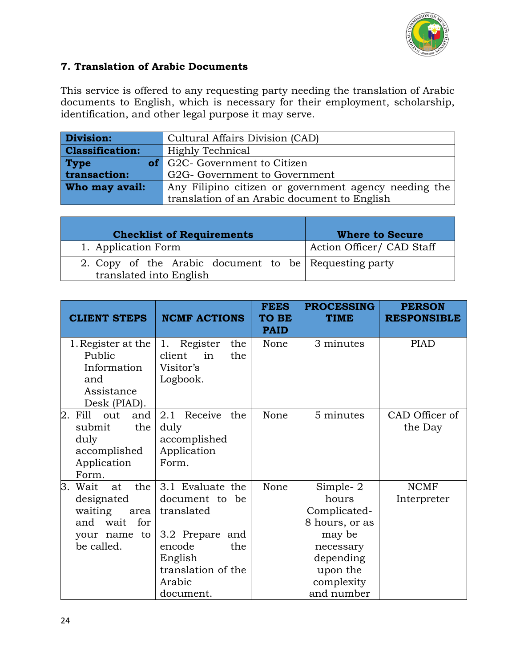

### **7. Translation of Arabic Documents**

This service is offered to any requesting party needing the translation of Arabic documents to English, which is necessary for their employment, scholarship, identification, and other legal purpose it may serve.

| Division:              | Cultural Affairs Division (CAD)                       |
|------------------------|-------------------------------------------------------|
| <b>Classification:</b> | Highly Technical                                      |
| <b>Type</b>            | <b>of</b> G2C- Government to Citizen                  |
| transaction:/          | G2G- Government to Government                         |
| Who may avail:         | Any Filipino citizen or government agency needing the |
|                        | translation of an Arabic document to English          |

| <b>Checklist of Requirements</b>                                                 | <b>Where to Secure</b>    |
|----------------------------------------------------------------------------------|---------------------------|
| 1. Application Form                                                              | Action Officer/ CAD Staff |
| 2. Copy of the Arabic document to be Requesting party<br>translated into English |                           |

| <b>CLIENT STEPS</b>                                                                                       | <b>NCMF ACTIONS</b>                                                                                                                          | <b>FEES</b><br>TO BE<br><b>PAID</b> | <b>PROCESSING</b><br><b>TIME</b>                                                                                                   | <b>PERSON</b><br><b>RESPONSIBLE</b> |
|-----------------------------------------------------------------------------------------------------------|----------------------------------------------------------------------------------------------------------------------------------------------|-------------------------------------|------------------------------------------------------------------------------------------------------------------------------------|-------------------------------------|
| 1. Register at the<br>Public<br>Information<br>and<br>Assistance<br>Desk (PIAD).                          | 1. Register<br>the<br>the<br>client<br>in<br>Visitor's<br>Logbook.                                                                           | None                                | 3 minutes                                                                                                                          | <b>PIAD</b>                         |
| 2. Fill<br>out<br>and<br>the<br>submit<br>duly<br>accomplished<br>Application<br>Form.                    | 2.1 Receive<br>the<br>duly<br>accomplished<br>Application<br>Form.                                                                           | None                                | 5 minutes                                                                                                                          | CAD Officer of<br>the Day           |
| З.<br>the<br>Wait<br>at<br>designated<br>waiting<br>area<br>and wait for<br>to<br>your name<br>be called. | 3.1 Evaluate the<br>document to be<br>translated<br>3.2 Prepare and<br>encode<br>the<br>English<br>translation of the<br>Arabic<br>document. | None                                | Simple- $2$<br>hours<br>Complicated-<br>8 hours, or as<br>may be<br>necessary<br>depending<br>upon the<br>complexity<br>and number | <b>NCMF</b><br>Interpreter          |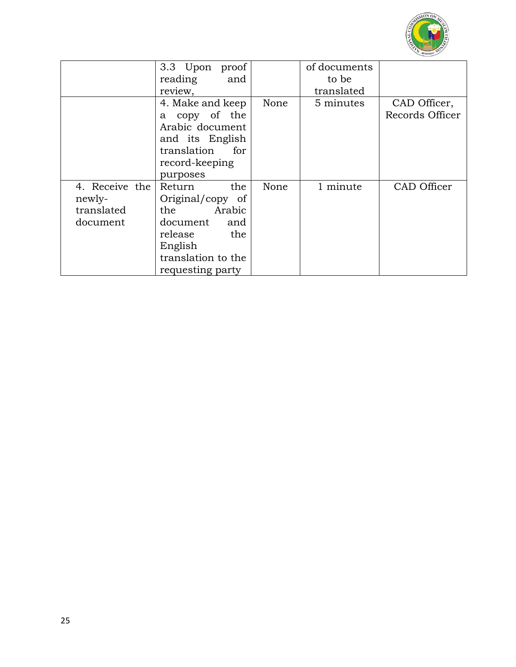

|                | 3.3 Upon proof<br>reading<br>and |      | of documents<br>to be |                 |
|----------------|----------------------------------|------|-----------------------|-----------------|
|                | review,                          |      | translated            |                 |
|                | 4. Make and keep                 | None | 5 minutes             | CAD Officer,    |
|                | copy of the<br>a                 |      |                       | Records Officer |
|                | Arabic document                  |      |                       |                 |
|                | and its English                  |      |                       |                 |
|                | translation<br>for               |      |                       |                 |
|                | record-keeping                   |      |                       |                 |
|                | purposes                         |      |                       |                 |
| 4. Receive the | the<br>Return                    | None | 1 minute              | CAD Officer     |
| newly-         | Original/copy of                 |      |                       |                 |
| translated     | Arabic<br>the                    |      |                       |                 |
| document       | document<br>and                  |      |                       |                 |
|                | the<br>release                   |      |                       |                 |
|                | English                          |      |                       |                 |
|                | translation to the               |      |                       |                 |
|                | requesting party                 |      |                       |                 |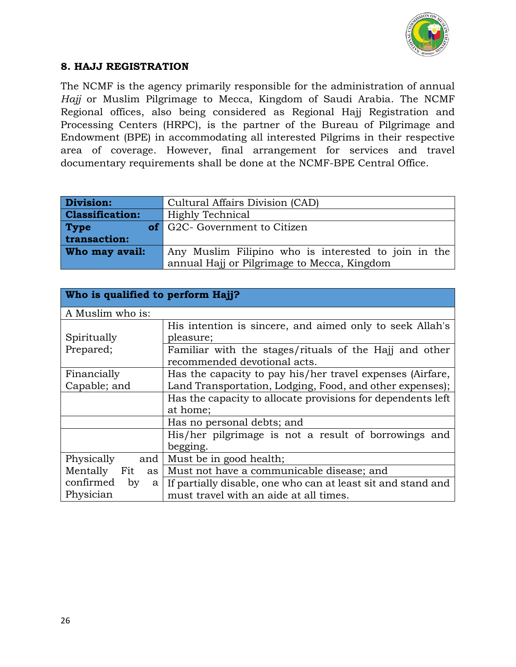

### **8. HAJJ REGISTRATION**

The NCMF is the agency primarily responsible for the administration of annual *Hajj* or Muslim Pilgrimage to Mecca, Kingdom of Saudi Arabia. The NCMF Regional offices, also being considered as Regional Hajj Registration and Processing Centers (HRPC), is the partner of the Bureau of Pilgrimage and Endowment (BPE) in accommodating all interested Pilgrims in their respective area of coverage. However, final arrangement for services and travel documentary requirements shall be done at the NCMF-BPE Central Office.

| <b>Division:</b>       | Cultural Affairs Division (CAD)                      |
|------------------------|------------------------------------------------------|
| <b>Classification:</b> | Highly Technical                                     |
| <b>Type</b>            | of G2C- Government to Citizen                        |
| transaction:           |                                                      |
| Who may avail:         | Any Muslim Filipino who is interested to join in the |
|                        | annual Hajj or Pilgrimage to Mecca, Kingdom          |

| Who is qualified to perform Hajj? |                                                              |
|-----------------------------------|--------------------------------------------------------------|
| A Muslim who is:                  |                                                              |
|                                   | His intention is sincere, and aimed only to seek Allah's     |
| Spiritually                       | pleasure;                                                    |
| Prepared;                         | Familiar with the stages/rituals of the Hajj and other       |
|                                   | recommended devotional acts.                                 |
| Financially                       | Has the capacity to pay his/her travel expenses (Airfare,    |
| Capable; and                      | Land Transportation, Lodging, Food, and other expenses);     |
|                                   | Has the capacity to allocate provisions for dependents left  |
|                                   | at home;                                                     |
|                                   | Has no personal debts; and                                   |
|                                   | His/her pilgrimage is not a result of borrowings and         |
|                                   | begging.                                                     |
| Physically<br>and                 | Must be in good health;                                      |
| Mentally<br>Fit<br>as             | Must not have a communicable disease; and                    |
| confirmed<br>by<br>a              | If partially disable, one who can at least sit and stand and |
| Physician                         | must travel with an aide at all times.                       |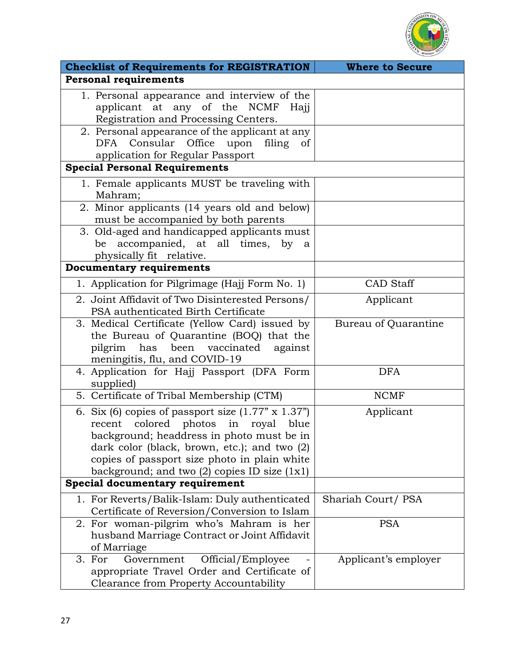

| <b>Checklist of Requirements for REGISTRATION</b>                                                                                                                                                                                                                                                  | <b>Where to Secure</b> |
|----------------------------------------------------------------------------------------------------------------------------------------------------------------------------------------------------------------------------------------------------------------------------------------------------|------------------------|
| <b>Personal requirements</b>                                                                                                                                                                                                                                                                       |                        |
| 1. Personal appearance and interview of the<br>applicant at any of the NCMF Hajj<br>Registration and Processing Centers.                                                                                                                                                                           |                        |
| 2. Personal appearance of the applicant at any<br>Consular<br>Office<br>DFA<br>upon<br>filing of<br>application for Regular Passport                                                                                                                                                               |                        |
| <b>Special Personal Requirements</b>                                                                                                                                                                                                                                                               |                        |
| 1. Female applicants MUST be traveling with<br>Mahram;                                                                                                                                                                                                                                             |                        |
| 2. Minor applicants (14 years old and below)<br>must be accompanied by both parents                                                                                                                                                                                                                |                        |
| 3. Old-aged and handicapped applicants must<br>accompanied, at all times, by a<br>be<br>physically fit relative.                                                                                                                                                                                   |                        |
| <b>Documentary requirements</b>                                                                                                                                                                                                                                                                    |                        |
| 1. Application for Pilgrimage (Hajj Form No. 1)                                                                                                                                                                                                                                                    | <b>CAD</b> Staff       |
| 2. Joint Affidavit of Two Disinterested Persons/<br>PSA authenticated Birth Certificate                                                                                                                                                                                                            | Applicant              |
| 3. Medical Certificate (Yellow Card) issued by<br>the Bureau of Quarantine (BOQ) that the<br>has been vaccinated against<br>pilgrim<br>meningitis, flu, and COVID-19                                                                                                                               | Bureau of Quarantine   |
| 4. Application for Hajj Passport (DFA Form<br>supplied)                                                                                                                                                                                                                                            | <b>DFA</b>             |
| 5. Certificate of Tribal Membership (CTM)                                                                                                                                                                                                                                                          | <b>NCMF</b>            |
| 6. Six (6) copies of passport size $(1.77 \times 1.37)$<br>colored photos in royal blue<br>recent<br>background; headdress in photo must be in<br>dark color (black, brown, etc.); and two (2)<br>copies of passport size photo in plain white<br>background; and two $(2)$ copies ID size $(1x1)$ | Applicant              |
| Special documentary requirement                                                                                                                                                                                                                                                                    |                        |
| 1. For Reverts/Balik-Islam: Duly authenticated<br>Certificate of Reversion/Conversion to Islam                                                                                                                                                                                                     | Shariah Court/PSA      |
| 2. For woman-pilgrim who's Mahram is her<br>husband Marriage Contract or Joint Affidavit<br>of Marriage                                                                                                                                                                                            | <b>PSA</b>             |
| Official/Employee<br>3. For<br>Government<br>appropriate Travel Order and Certificate of<br>Clearance from Property Accountability                                                                                                                                                                 | Applicant's employer   |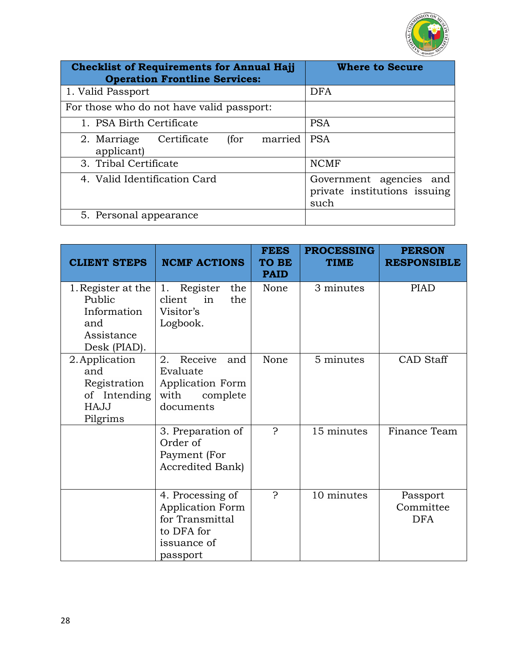

| <b>Checklist of Requirements for Annual Hajj</b><br><b>Operation Frontline Services:</b> | <b>Where to Secure</b>                                          |
|------------------------------------------------------------------------------------------|-----------------------------------------------------------------|
| 1. Valid Passport                                                                        | <b>DFA</b>                                                      |
| For those who do not have valid passport:                                                |                                                                 |
| 1. PSA Birth Certificate                                                                 | <b>PSA</b>                                                      |
| married<br>(for<br>2. Marriage<br>Certificate<br>applicant)                              | <b>PSA</b>                                                      |
| 3. Tribal Certificate                                                                    | <b>NCMF</b>                                                     |
| 4. Valid Identification Card                                                             | Government agencies and<br>private institutions issuing<br>such |
| 5. Personal appearance                                                                   |                                                                 |

| <b>CLIENT STEPS</b>                                                              | <b>NCMF ACTIONS</b>                                                                                     | <b>FEES</b><br><b>TO BE</b><br><b>PAID</b> | <b>PROCESSING</b><br><b>TIME</b> | <b>PERSON</b><br><b>RESPONSIBLE</b> |
|----------------------------------------------------------------------------------|---------------------------------------------------------------------------------------------------------|--------------------------------------------|----------------------------------|-------------------------------------|
| 1. Register at the<br>Public<br>Information<br>and<br>Assistance<br>Desk (PIAD). | Register<br>the<br>1.<br>client<br>the<br>in<br>Visitor's<br>Logbook.                                   | None                                       | 3 minutes                        | <b>PIAD</b>                         |
| 2. Application<br>and<br>Registration<br>of Intending<br><b>HAJJ</b><br>Pilgrims | Receive<br>2.<br>and<br>Evaluate<br>Application Form<br>with<br>complete<br>documents                   | None                                       | 5 minutes                        | <b>CAD</b> Staff                    |
|                                                                                  | 3. Preparation of<br>Order of<br>Payment (For<br>Accredited Bank)                                       | Ç                                          | 15 minutes                       | Finance Team                        |
|                                                                                  | 4. Processing of<br><b>Application Form</b><br>for Transmittal<br>to DFA for<br>issuance of<br>passport | P                                          | 10 minutes                       | Passport<br>Committee<br><b>DFA</b> |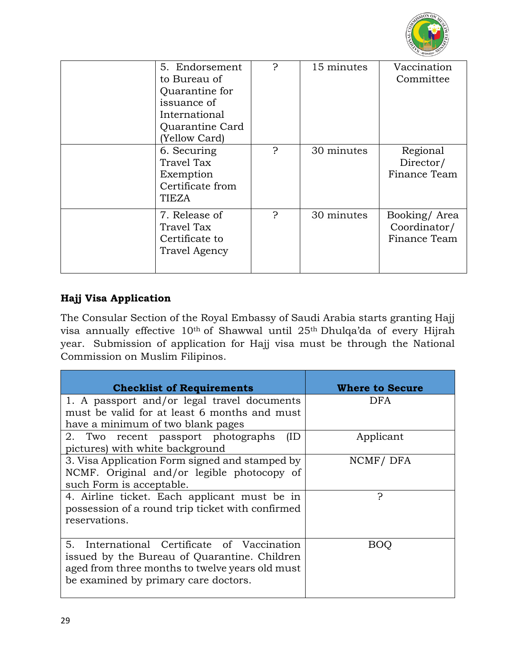

| 5. Endorsement<br>to Bureau of<br>Quarantine for<br>issuance of<br>International<br>Quarantine Card<br>(Yellow Card) | ς | 15 minutes | Vaccination<br>Committee                     |
|----------------------------------------------------------------------------------------------------------------------|---|------------|----------------------------------------------|
| 6. Securing<br>Travel Tax<br>Exemption<br>Certificate from<br>TIEZA                                                  | Ç | 30 minutes | Regional<br>Director/<br>Finance Team        |
| 7. Release of<br>Travel Tax<br>Certificate to<br><b>Travel Agency</b>                                                | ာ | 30 minutes | Booking/Area<br>Coordinator/<br>Finance Team |

# **Hajj Visa Application**

The Consular Section of the Royal Embassy of Saudi Arabia starts granting Hajj visa annually effective 10th of Shawwal until 25th Dhulqa'da of every Hijrah year. Submission of application for Hajj visa must be through the National Commission on Muslim Filipinos.

| <b>Checklist of Requirements</b>                 | <b>Where to Secure</b> |
|--------------------------------------------------|------------------------|
| 1. A passport and/or legal travel documents      | DFA                    |
| must be valid for at least 6 months and must     |                        |
| have a minimum of two blank pages                |                        |
| 2. Two recent passport photographs<br>(ID        | Applicant              |
| pictures) with white background                  |                        |
| 3. Visa Application Form signed and stamped by   | NCMF/DFA               |
| NCMF. Original and/or legible photocopy of       |                        |
| such Form is acceptable.                         |                        |
| 4. Airline ticket. Each applicant must be in     | ာ                      |
| possession of a round trip ticket with confirmed |                        |
| reservations.                                    |                        |
|                                                  |                        |
| International Certificate of Vaccination<br>5.   | BOO                    |
| issued by the Bureau of Quarantine. Children     |                        |
| aged from three months to twelve years old must  |                        |
| be examined by primary care doctors.             |                        |
|                                                  |                        |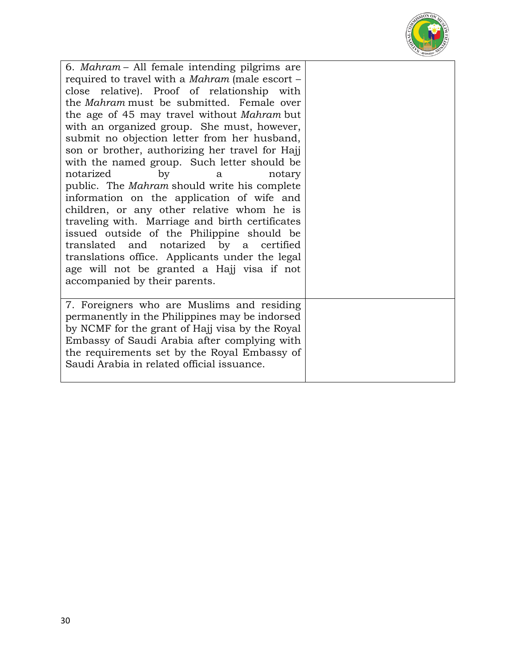

6. *Mahram* – All female intending pilgrims are required to travel with a *Mahram* (male escort – close relative). Proof of relationship with the *Mahram* must be submitted. Female over the age of 45 may travel without *Mahram* but with an organized group. She must, however, submit no objection letter from her husband, son or brother, authorizing her travel for Hajj with the named group. Such letter should be notarized by a notary public. The *Mahram* should write his complete information on the application of wife and children, or any other relative whom he is traveling with. Marriage and birth certificates issued outside of the Philippine should be translated and notarized by a certified translations office. Applicants under the legal age will not be granted a Hajj visa if not accompanied by their parents. 7. Foreigners who are Muslims and residing permanently in the Philippines may be indorsed by NCMF for the grant of Hajj visa by the Royal Embassy of Saudi Arabia after complying with the requirements set by the Royal Embassy of Saudi Arabia in related official issuance.